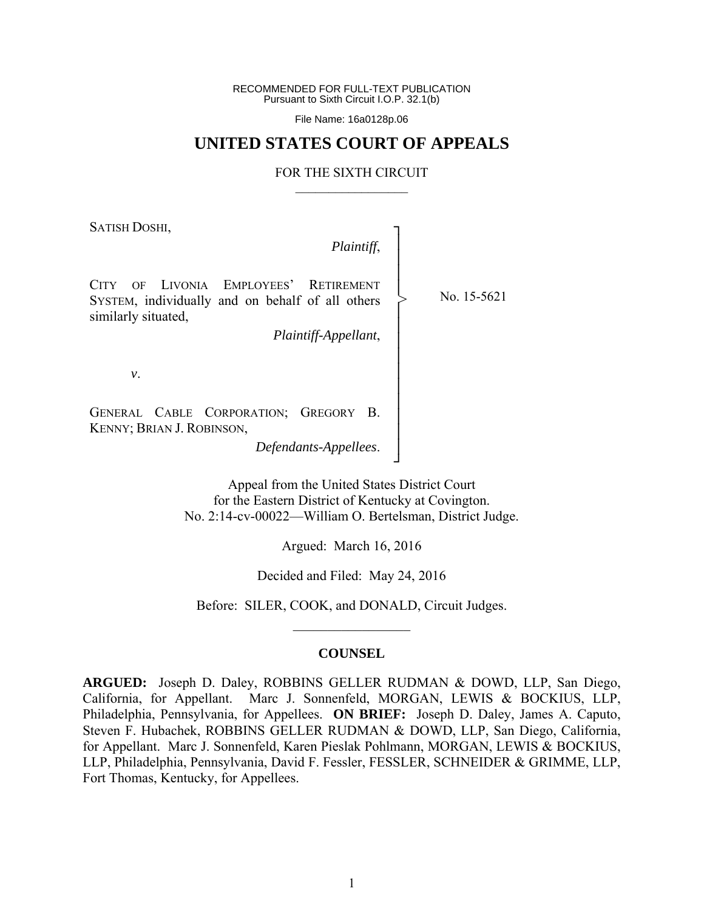RECOMMENDED FOR FULL-TEXT PUBLICATION Pursuant to Sixth Circuit I.O.P. 32.1(b)

File Name: 16a0128p.06

## **UNITED STATES COURT OF APPEALS**

#### FOR THE SIXTH CIRCUIT  $\mathcal{L}_\text{max}$

SATISH DOSHI,

## *Plaintiff*,

┐ │ │

│ │ │ │ │ │ │ │ ┘

>

CITY OF LIVONIA EMPLOYEES' RETIREMENT SYSTEM, individually and on behalf of all others similarly situated, │ │ │ │

*Plaintiff-Appellant*,

*v*.

GENERAL CABLE CORPORATION; GREGORY B. KENNY; BRIAN J. ROBINSON,

*Defendants-Appellees*.

Appeal from the United States District Court for the Eastern District of Kentucky at Covington. No. 2:14-cv-00022—William O. Bertelsman, District Judge.

Argued: March 16, 2016

Decided and Filed: May 24, 2016

Before: SILER, COOK, and DONALD, Circuit Judges.  $\frac{1}{2}$ 

#### **COUNSEL**

**ARGUED:** Joseph D. Daley, ROBBINS GELLER RUDMAN & DOWD, LLP, San Diego, California, for Appellant. Marc J. Sonnenfeld, MORGAN, LEWIS & BOCKIUS, LLP, Philadelphia, Pennsylvania, for Appellees. **ON BRIEF:** Joseph D. Daley, James A. Caputo, Steven F. Hubachek, ROBBINS GELLER RUDMAN & DOWD, LLP, San Diego, California, for Appellant. Marc J. Sonnenfeld, Karen Pieslak Pohlmann, MORGAN, LEWIS & BOCKIUS, LLP, Philadelphia, Pennsylvania, David F. Fessler, FESSLER, SCHNEIDER & GRIMME, LLP, Fort Thomas, Kentucky, for Appellees.

No. 15-5621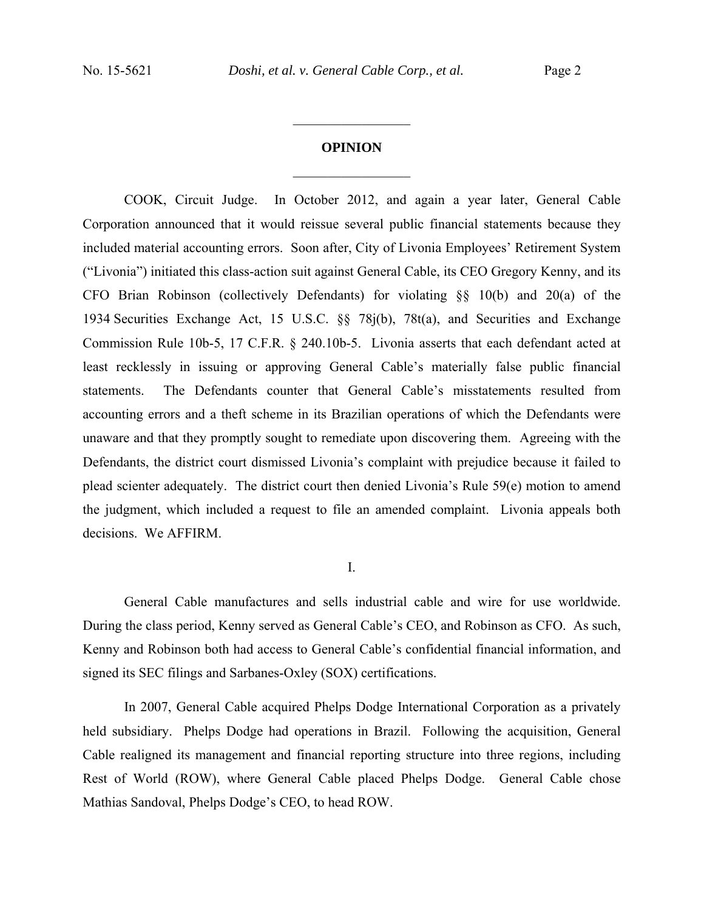# **OPINION**   $\frac{1}{2}$  ,  $\frac{1}{2}$  ,  $\frac{1}{2}$  ,  $\frac{1}{2}$  ,  $\frac{1}{2}$  ,  $\frac{1}{2}$  ,  $\frac{1}{2}$  ,  $\frac{1}{2}$  ,  $\frac{1}{2}$

 $\frac{1}{2}$  ,  $\frac{1}{2}$  ,  $\frac{1}{2}$  ,  $\frac{1}{2}$  ,  $\frac{1}{2}$  ,  $\frac{1}{2}$  ,  $\frac{1}{2}$  ,  $\frac{1}{2}$  ,  $\frac{1}{2}$ 

COOK, Circuit Judge. In October 2012, and again a year later, General Cable Corporation announced that it would reissue several public financial statements because they included material accounting errors. Soon after, City of Livonia Employees' Retirement System ("Livonia") initiated this class-action suit against General Cable, its CEO Gregory Kenny, and its CFO Brian Robinson (collectively Defendants) for violating §§ 10(b) and 20(a) of the 1934 Securities Exchange Act, 15 U.S.C. §§ 78j(b), 78t(a), and Securities and Exchange Commission Rule 10b-5, 17 C.F.R. § 240.10b-5. Livonia asserts that each defendant acted at least recklessly in issuing or approving General Cable's materially false public financial statements. The Defendants counter that General Cable's misstatements resulted from accounting errors and a theft scheme in its Brazilian operations of which the Defendants were unaware and that they promptly sought to remediate upon discovering them. Agreeing with the Defendants, the district court dismissed Livonia's complaint with prejudice because it failed to plead scienter adequately. The district court then denied Livonia's Rule 59(e) motion to amend the judgment, which included a request to file an amended complaint. Livonia appeals both decisions. We AFFIRM.

I.

General Cable manufactures and sells industrial cable and wire for use worldwide. During the class period, Kenny served as General Cable's CEO, and Robinson as CFO. As such, Kenny and Robinson both had access to General Cable's confidential financial information, and signed its SEC filings and Sarbanes-Oxley (SOX) certifications.

In 2007, General Cable acquired Phelps Dodge International Corporation as a privately held subsidiary. Phelps Dodge had operations in Brazil. Following the acquisition, General Cable realigned its management and financial reporting structure into three regions, including Rest of World (ROW), where General Cable placed Phelps Dodge. General Cable chose Mathias Sandoval, Phelps Dodge's CEO, to head ROW.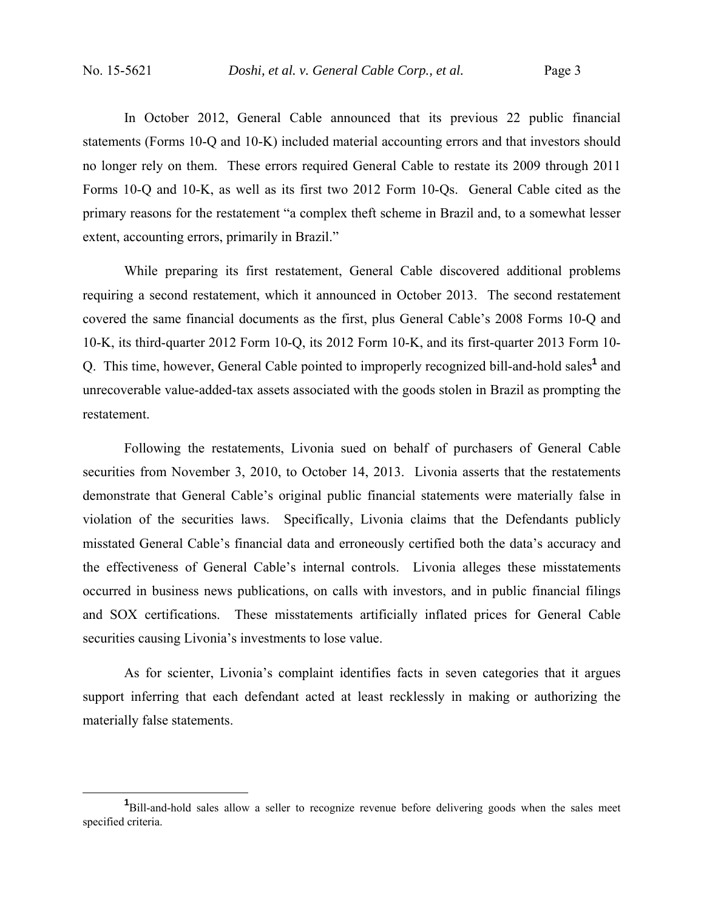In October 2012, General Cable announced that its previous 22 public financial statements (Forms 10-Q and 10-K) included material accounting errors and that investors should no longer rely on them. These errors required General Cable to restate its 2009 through 2011 Forms 10-Q and 10-K, as well as its first two 2012 Form 10-Qs. General Cable cited as the primary reasons for the restatement "a complex theft scheme in Brazil and, to a somewhat lesser extent, accounting errors, primarily in Brazil."

 While preparing its first restatement, General Cable discovered additional problems requiring a second restatement, which it announced in October 2013. The second restatement covered the same financial documents as the first, plus General Cable's 2008 Forms 10-Q and 10-K, its third-quarter 2012 Form 10-Q, its 2012 Form 10-K, and its first-quarter 2013 Form 10- Q. This time, however, General Cable pointed to improperly recognized bill-and-hold sales<sup>1</sup> and unrecoverable value-added-tax assets associated with the goods stolen in Brazil as prompting the restatement.

 Following the restatements, Livonia sued on behalf of purchasers of General Cable securities from November 3, 2010, to October 14, 2013. Livonia asserts that the restatements demonstrate that General Cable's original public financial statements were materially false in violation of the securities laws. Specifically, Livonia claims that the Defendants publicly misstated General Cable's financial data and erroneously certified both the data's accuracy and the effectiveness of General Cable's internal controls. Livonia alleges these misstatements occurred in business news publications, on calls with investors, and in public financial filings and SOX certifications. These misstatements artificially inflated prices for General Cable securities causing Livonia's investments to lose value.

As for scienter, Livonia's complaint identifies facts in seven categories that it argues support inferring that each defendant acted at least recklessly in making or authorizing the materially false statements.

<sup>&</sup>lt;u>1</u> <sup>1</sup>Bill-and-hold sales allow a seller to recognize revenue before delivering goods when the sales meet specified criteria.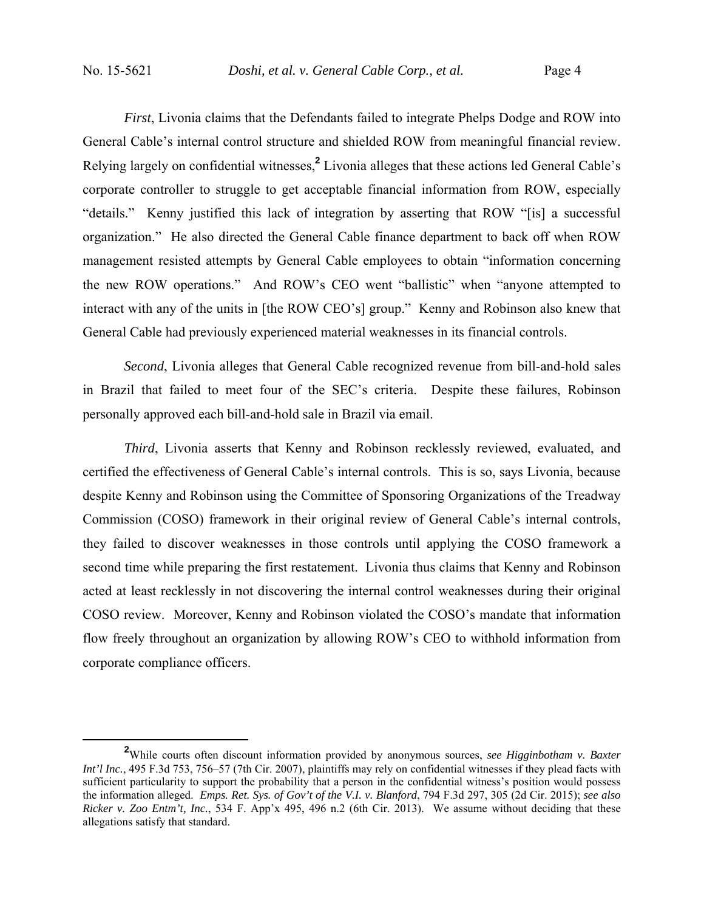*First*, Livonia claims that the Defendants failed to integrate Phelps Dodge and ROW into General Cable's internal control structure and shielded ROW from meaningful financial review. Relying largely on confidential witnesses,**<sup>2</sup>** Livonia alleges that these actions led General Cable's corporate controller to struggle to get acceptable financial information from ROW, especially "details." Kenny justified this lack of integration by asserting that ROW "[is] a successful organization." He also directed the General Cable finance department to back off when ROW management resisted attempts by General Cable employees to obtain "information concerning the new ROW operations." And ROW's CEO went "ballistic" when "anyone attempted to interact with any of the units in [the ROW CEO's] group." Kenny and Robinson also knew that General Cable had previously experienced material weaknesses in its financial controls.

*Second*, Livonia alleges that General Cable recognized revenue from bill-and-hold sales in Brazil that failed to meet four of the SEC's criteria. Despite these failures, Robinson personally approved each bill-and-hold sale in Brazil via email.

*Third*, Livonia asserts that Kenny and Robinson recklessly reviewed, evaluated, and certified the effectiveness of General Cable's internal controls. This is so, says Livonia, because despite Kenny and Robinson using the Committee of Sponsoring Organizations of the Treadway Commission (COSO) framework in their original review of General Cable's internal controls, they failed to discover weaknesses in those controls until applying the COSO framework a second time while preparing the first restatement. Livonia thus claims that Kenny and Robinson acted at least recklessly in not discovering the internal control weaknesses during their original COSO review. Moreover, Kenny and Robinson violated the COSO's mandate that information flow freely throughout an organization by allowing ROW's CEO to withhold information from corporate compliance officers.

**<sup>2</sup>** While courts often discount information provided by anonymous sources, *see Higginbotham v. Baxter Int'l Inc.*, 495 F.3d 753, 756–57 (7th Cir. 2007), plaintiffs may rely on confidential witnesses if they plead facts with sufficient particularity to support the probability that a person in the confidential witness's position would possess the information alleged. *Emps. Ret. Sys. of Gov't of the V.I. v. Blanford*, 794 F.3d 297, 305 (2d Cir. 2015); *see also Ricker v. Zoo Entm't, Inc.*, 534 F. App'x 495, 496 n.2 (6th Cir. 2013). We assume without deciding that these allegations satisfy that standard.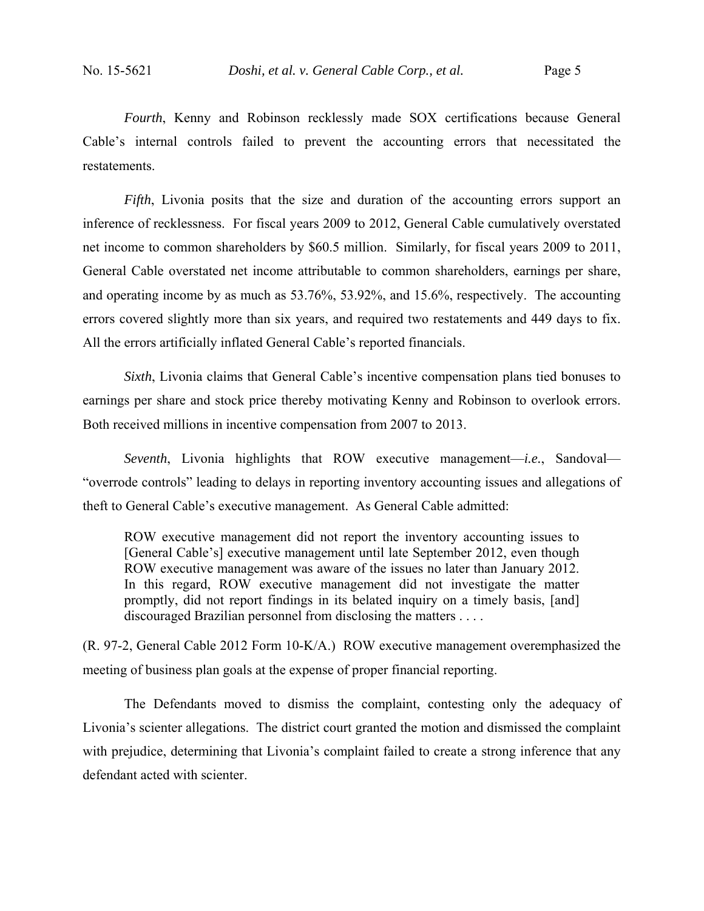*Fourth*, Kenny and Robinson recklessly made SOX certifications because General Cable's internal controls failed to prevent the accounting errors that necessitated the restatements.

*Fifth*, Livonia posits that the size and duration of the accounting errors support an inference of recklessness. For fiscal years 2009 to 2012, General Cable cumulatively overstated net income to common shareholders by \$60.5 million. Similarly, for fiscal years 2009 to 2011, General Cable overstated net income attributable to common shareholders, earnings per share, and operating income by as much as 53.76%, 53.92%, and 15.6%, respectively. The accounting errors covered slightly more than six years, and required two restatements and 449 days to fix. All the errors artificially inflated General Cable's reported financials.

*Sixth*, Livonia claims that General Cable's incentive compensation plans tied bonuses to earnings per share and stock price thereby motivating Kenny and Robinson to overlook errors. Both received millions in incentive compensation from 2007 to 2013.

*Seventh*, Livonia highlights that ROW executive management—*i.e.*, Sandoval— "overrode controls" leading to delays in reporting inventory accounting issues and allegations of theft to General Cable's executive management. As General Cable admitted:

ROW executive management did not report the inventory accounting issues to [General Cable's] executive management until late September 2012, even though ROW executive management was aware of the issues no later than January 2012. In this regard, ROW executive management did not investigate the matter promptly, did not report findings in its belated inquiry on a timely basis, [and] discouraged Brazilian personnel from disclosing the matters . . . .

(R. 97-2, General Cable 2012 Form 10-K/A.) ROW executive management overemphasized the meeting of business plan goals at the expense of proper financial reporting.

The Defendants moved to dismiss the complaint, contesting only the adequacy of Livonia's scienter allegations. The district court granted the motion and dismissed the complaint with prejudice, determining that Livonia's complaint failed to create a strong inference that any defendant acted with scienter.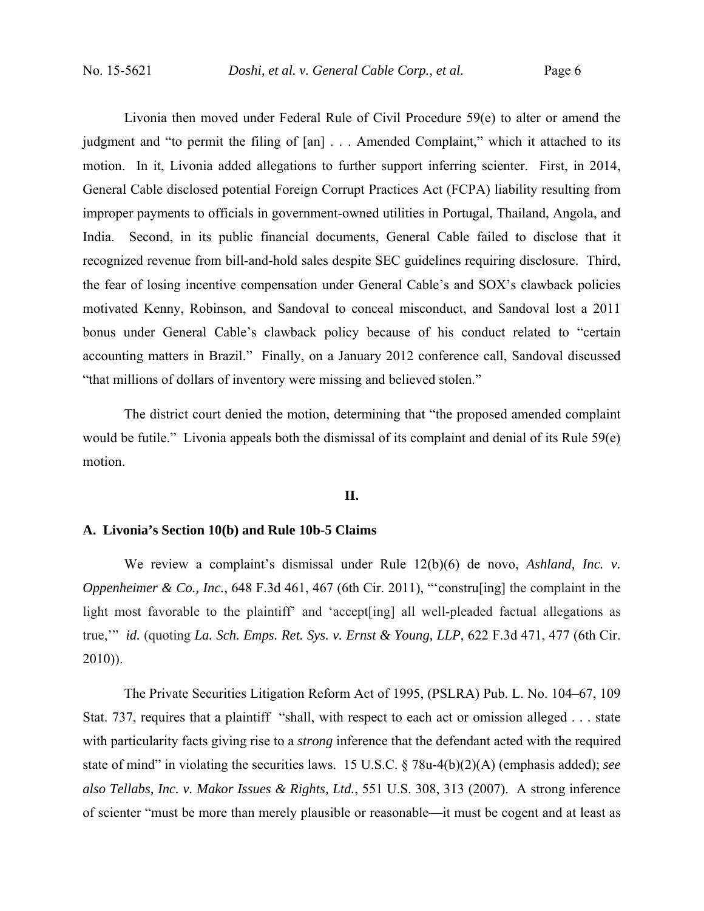Livonia then moved under Federal Rule of Civil Procedure 59(e) to alter or amend the judgment and "to permit the filing of [an] . . . Amended Complaint," which it attached to its motion. In it, Livonia added allegations to further support inferring scienter. First, in 2014, General Cable disclosed potential Foreign Corrupt Practices Act (FCPA) liability resulting from improper payments to officials in government-owned utilities in Portugal, Thailand, Angola, and India. Second, in its public financial documents, General Cable failed to disclose that it recognized revenue from bill-and-hold sales despite SEC guidelines requiring disclosure. Third, the fear of losing incentive compensation under General Cable's and SOX's clawback policies motivated Kenny, Robinson, and Sandoval to conceal misconduct, and Sandoval lost a 2011 bonus under General Cable's clawback policy because of his conduct related to "certain accounting matters in Brazil." Finally, on a January 2012 conference call, Sandoval discussed "that millions of dollars of inventory were missing and believed stolen."

The district court denied the motion, determining that "the proposed amended complaint would be futile." Livonia appeals both the dismissal of its complaint and denial of its Rule 59(e) motion.

## **II.**

## **A. Livonia's Section 10(b) and Rule 10b-5 Claims**

We review a complaint's dismissal under Rule 12(b)(6) de novo, *Ashland, Inc. v. Oppenheimer & Co., Inc.*, 648 F.3d 461, 467 (6th Cir. 2011), "'construling] the complaint in the light most favorable to the plaintiff' and 'accept[ing] all well-pleaded factual allegations as true,'" *id.* (quoting *La. Sch. Emps. Ret. Sys. v. Ernst & Young, LLP*, 622 F.3d 471, 477 (6th Cir.  $2010)$ ).

The Private Securities Litigation Reform Act of 1995, (PSLRA) Pub. L. No. 104–67, 109 Stat. 737, requires that a plaintiff "shall, with respect to each act or omission alleged . . . state with particularity facts giving rise to a *strong* inference that the defendant acted with the required state of mind" in violating the securities laws. 15 U.S.C. § 78u-4(b)(2)(A) (emphasis added); *see also Tellabs, Inc. v. Makor Issues & Rights, Ltd.*, 551 U.S. 308, 313 (2007). A strong inference of scienter "must be more than merely plausible or reasonable—it must be cogent and at least as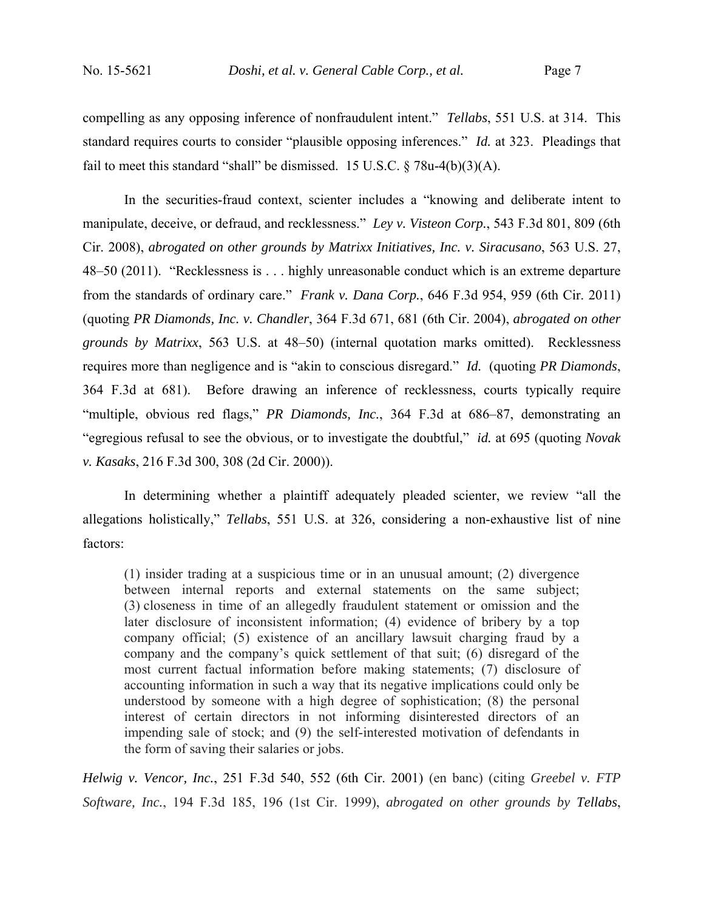compelling as any opposing inference of nonfraudulent intent." *Tellabs*, 551 U.S. at 314. This standard requires courts to consider "plausible opposing inferences." *Id.* at 323. Pleadings that fail to meet this standard "shall" be dismissed. 15 U.S.C.  $\S$  78u-4(b)(3)(A).

In the securities-fraud context, scienter includes a "knowing and deliberate intent to manipulate, deceive, or defraud, and recklessness." *Ley v. Visteon Corp.*, 543 F.3d 801, 809 (6th Cir. 2008), *abrogated on other grounds by Matrixx Initiatives, Inc. v. Siracusano*, 563 U.S. 27, 48–50 (2011). "Recklessness is . . . highly unreasonable conduct which is an extreme departure from the standards of ordinary care." *Frank v. Dana Corp.*, 646 F.3d 954, 959 (6th Cir. 2011) (quoting *PR Diamonds, Inc. v. Chandler*, 364 F.3d 671, 681 (6th Cir. 2004), *abrogated on other grounds by Matrixx*, 563 U.S. at 48–50) (internal quotation marks omitted). Recklessness requires more than negligence and is "akin to conscious disregard." *Id.* (quoting *PR Diamonds*, 364 F.3d at 681). Before drawing an inference of recklessness, courts typically require "multiple, obvious red flags," *PR Diamonds, Inc.*, 364 F.3d at 686–87, demonstrating an "egregious refusal to see the obvious, or to investigate the doubtful," *id.* at 695 (quoting *Novak v. Kasaks*, 216 F.3d 300, 308 (2d Cir. 2000)).

In determining whether a plaintiff adequately pleaded scienter, we review "all the allegations holistically," *Tellabs*, 551 U.S. at 326, considering a non-exhaustive list of nine factors:

(1) insider trading at a suspicious time or in an unusual amount; (2) divergence between internal reports and external statements on the same subject; (3) closeness in time of an allegedly fraudulent statement or omission and the later disclosure of inconsistent information; (4) evidence of bribery by a top company official; (5) existence of an ancillary lawsuit charging fraud by a company and the company's quick settlement of that suit; (6) disregard of the most current factual information before making statements; (7) disclosure of accounting information in such a way that its negative implications could only be understood by someone with a high degree of sophistication; (8) the personal interest of certain directors in not informing disinterested directors of an impending sale of stock; and (9) the self-interested motivation of defendants in the form of saving their salaries or jobs.

*Helwig v. Vencor, Inc.*, 251 F.3d 540, 552 (6th Cir. 2001) (en banc) (citing *Greebel v. FTP Software, Inc.*, 194 F.3d 185, 196 (1st Cir. 1999), *abrogated on other grounds by Tellabs*,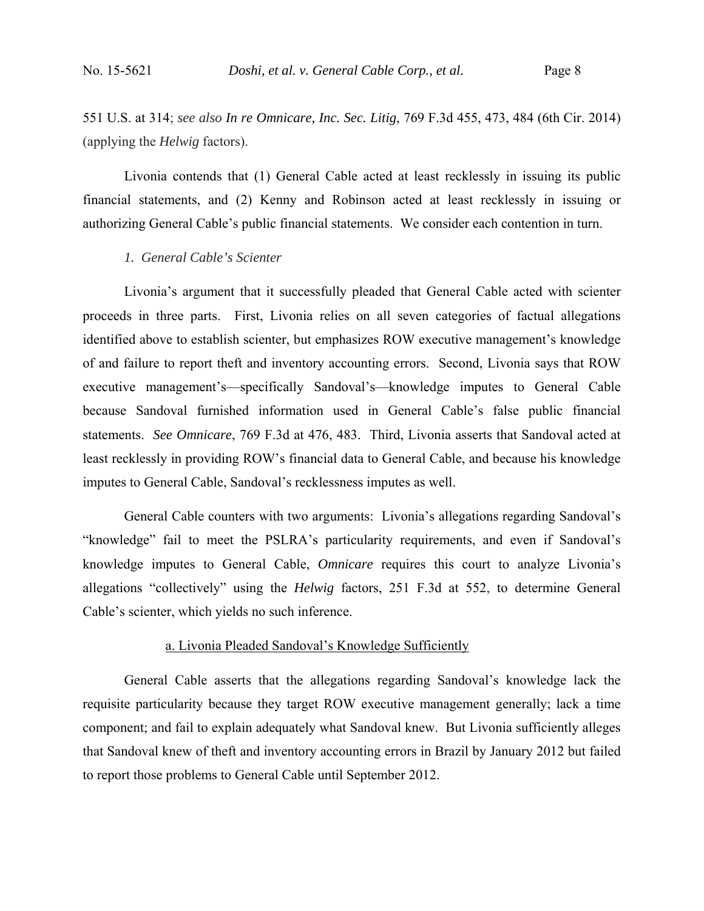551 U.S. at 314; *see also In re Omnicare, Inc. Sec. Litig*, 769 F.3d 455, 473, 484 (6th Cir. 2014) (applying the *Helwig* factors).

 Livonia contends that (1) General Cable acted at least recklessly in issuing its public financial statements, and (2) Kenny and Robinson acted at least recklessly in issuing or authorizing General Cable's public financial statements. We consider each contention in turn.

#### *1. General Cable's Scienter*

Livonia's argument that it successfully pleaded that General Cable acted with scienter proceeds in three parts. First, Livonia relies on all seven categories of factual allegations identified above to establish scienter, but emphasizes ROW executive management's knowledge of and failure to report theft and inventory accounting errors. Second, Livonia says that ROW executive management's—specifically Sandoval's—knowledge imputes to General Cable because Sandoval furnished information used in General Cable's false public financial statements. *See Omnicare*, 769 F.3d at 476, 483. Third, Livonia asserts that Sandoval acted at least recklessly in providing ROW's financial data to General Cable, and because his knowledge imputes to General Cable, Sandoval's recklessness imputes as well.

General Cable counters with two arguments: Livonia's allegations regarding Sandoval's "knowledge" fail to meet the PSLRA's particularity requirements, and even if Sandoval's knowledge imputes to General Cable, *Omnicare* requires this court to analyze Livonia's allegations "collectively" using the *Helwig* factors, 251 F.3d at 552, to determine General Cable's scienter, which yields no such inference.

#### a. Livonia Pleaded Sandoval's Knowledge Sufficiently

General Cable asserts that the allegations regarding Sandoval's knowledge lack the requisite particularity because they target ROW executive management generally; lack a time component; and fail to explain adequately what Sandoval knew. But Livonia sufficiently alleges that Sandoval knew of theft and inventory accounting errors in Brazil by January 2012 but failed to report those problems to General Cable until September 2012.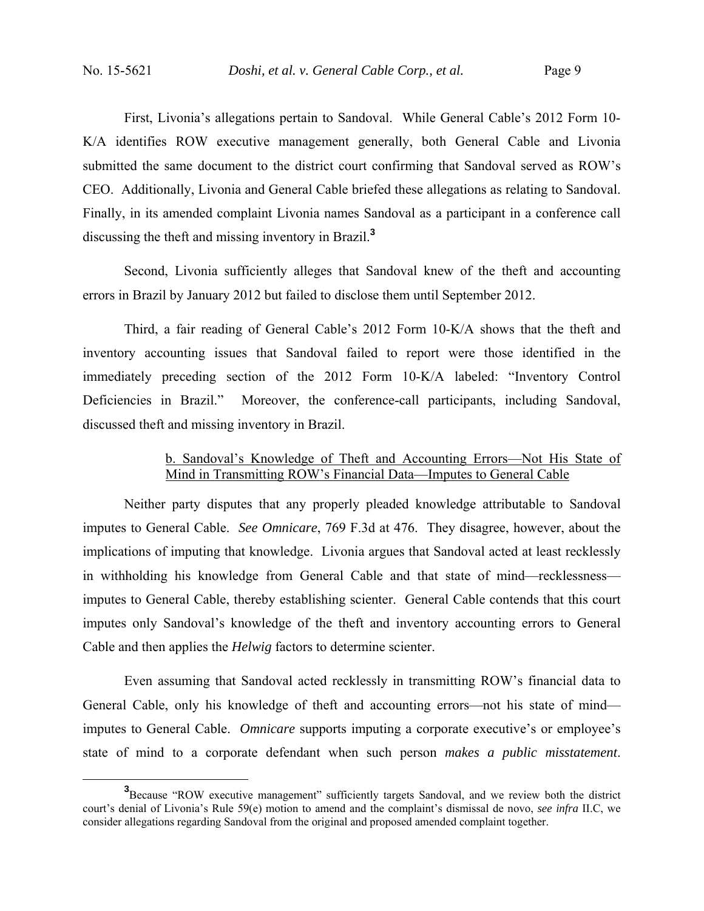First, Livonia's allegations pertain to Sandoval. While General Cable's 2012 Form 10- K/A identifies ROW executive management generally, both General Cable and Livonia submitted the same document to the district court confirming that Sandoval served as ROW's CEO. Additionally, Livonia and General Cable briefed these allegations as relating to Sandoval. Finally, in its amended complaint Livonia names Sandoval as a participant in a conference call discussing the theft and missing inventory in Brazil.**<sup>3</sup>**

Second, Livonia sufficiently alleges that Sandoval knew of the theft and accounting errors in Brazil by January 2012 but failed to disclose them until September 2012.

Third, a fair reading of General Cable's 2012 Form 10-K/A shows that the theft and inventory accounting issues that Sandoval failed to report were those identified in the immediately preceding section of the 2012 Form 10-K/A labeled: "Inventory Control Deficiencies in Brazil." Moreover, the conference-call participants, including Sandoval, discussed theft and missing inventory in Brazil.

## b. Sandoval's Knowledge of Theft and Accounting Errors—Not His State of Mind in Transmitting ROW's Financial Data—Imputes to General Cable

Neither party disputes that any properly pleaded knowledge attributable to Sandoval imputes to General Cable. *See Omnicare*, 769 F.3d at 476. They disagree, however, about the implications of imputing that knowledge. Livonia argues that Sandoval acted at least recklessly in withholding his knowledge from General Cable and that state of mind—recklessness imputes to General Cable, thereby establishing scienter. General Cable contends that this court imputes only Sandoval's knowledge of the theft and inventory accounting errors to General Cable and then applies the *Helwig* factors to determine scienter.

Even assuming that Sandoval acted recklessly in transmitting ROW's financial data to General Cable, only his knowledge of theft and accounting errors—not his state of mind imputes to General Cable. *Omnicare* supports imputing a corporate executive's or employee's state of mind to a corporate defendant when such person *makes a public misstatement*.

**<sup>3</sup>** <sup>3</sup>Because "ROW executive management" sufficiently targets Sandoval, and we review both the district court's denial of Livonia's Rule 59(e) motion to amend and the complaint's dismissal de novo, *see infra* II.C, we consider allegations regarding Sandoval from the original and proposed amended complaint together.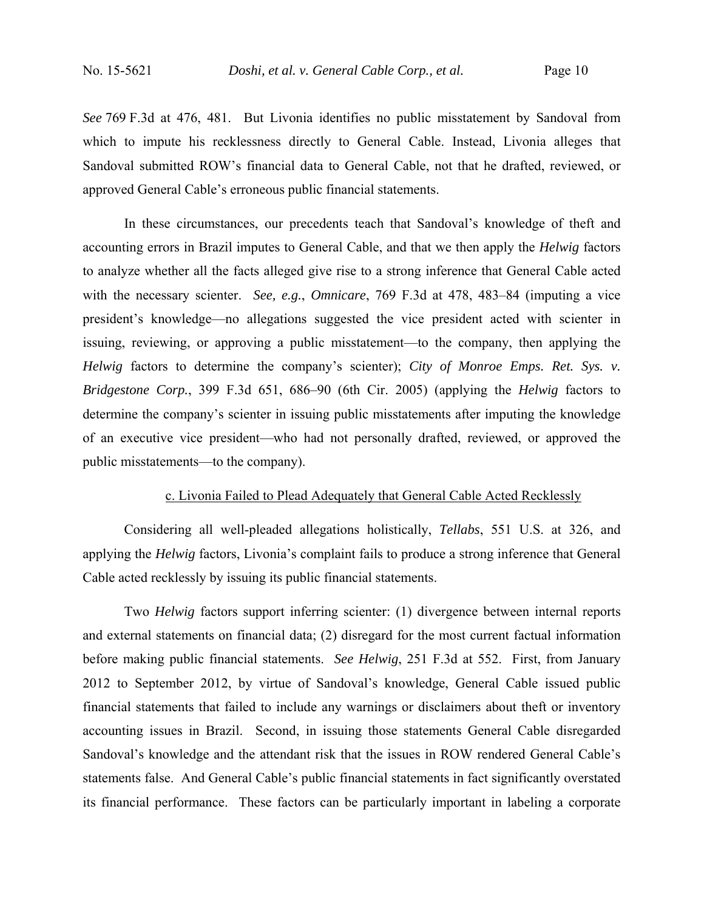*See* 769 F.3d at 476, 481. But Livonia identifies no public misstatement by Sandoval from which to impute his recklessness directly to General Cable. Instead, Livonia alleges that Sandoval submitted ROW's financial data to General Cable, not that he drafted, reviewed, or approved General Cable's erroneous public financial statements.

In these circumstances, our precedents teach that Sandoval's knowledge of theft and accounting errors in Brazil imputes to General Cable, and that we then apply the *Helwig* factors to analyze whether all the facts alleged give rise to a strong inference that General Cable acted with the necessary scienter. *See, e.g.*, *Omnicare*, 769 F.3d at 478, 483–84 (imputing a vice president's knowledge—no allegations suggested the vice president acted with scienter in issuing, reviewing, or approving a public misstatement—to the company, then applying the *Helwig* factors to determine the company's scienter); *City of Monroe Emps. Ret. Sys. v. Bridgestone Corp.*, 399 F.3d 651, 686–90 (6th Cir. 2005) (applying the *Helwig* factors to determine the company's scienter in issuing public misstatements after imputing the knowledge of an executive vice president—who had not personally drafted, reviewed, or approved the public misstatements—to the company).

## c. Livonia Failed to Plead Adequately that General Cable Acted Recklessly

 Considering all well-pleaded allegations holistically, *Tellabs*, 551 U.S. at 326, and applying the *Helwig* factors, Livonia's complaint fails to produce a strong inference that General Cable acted recklessly by issuing its public financial statements.

Two *Helwig* factors support inferring scienter: (1) divergence between internal reports and external statements on financial data; (2) disregard for the most current factual information before making public financial statements. *See Helwig*, 251 F.3d at 552. First, from January 2012 to September 2012, by virtue of Sandoval's knowledge, General Cable issued public financial statements that failed to include any warnings or disclaimers about theft or inventory accounting issues in Brazil. Second, in issuing those statements General Cable disregarded Sandoval's knowledge and the attendant risk that the issues in ROW rendered General Cable's statements false. And General Cable's public financial statements in fact significantly overstated its financial performance. These factors can be particularly important in labeling a corporate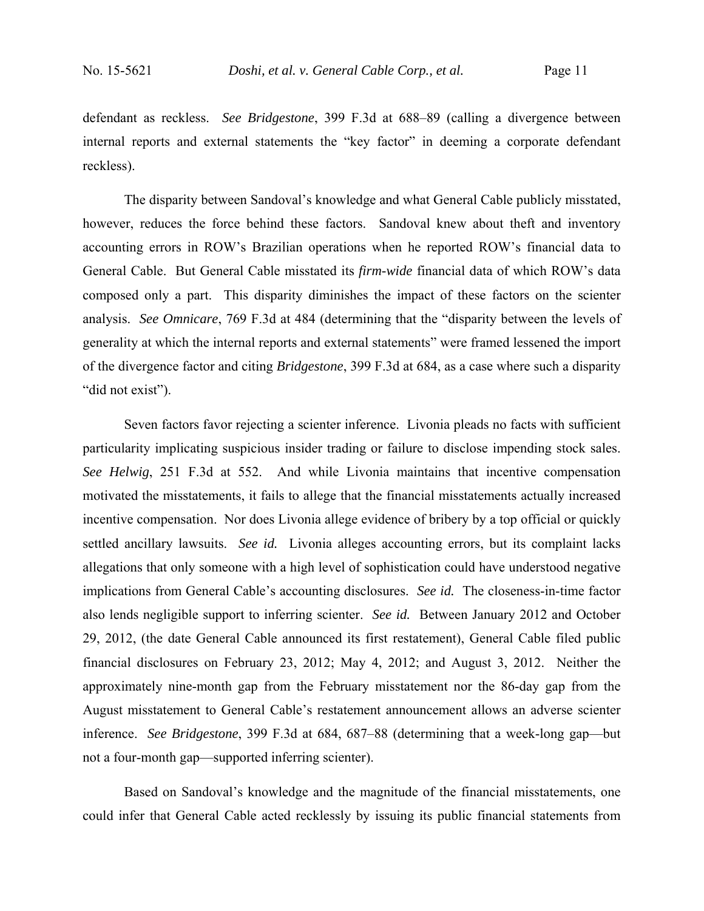defendant as reckless. *See Bridgestone*, 399 F.3d at 688–89 (calling a divergence between internal reports and external statements the "key factor" in deeming a corporate defendant reckless).

The disparity between Sandoval's knowledge and what General Cable publicly misstated, however, reduces the force behind these factors. Sandoval knew about theft and inventory accounting errors in ROW's Brazilian operations when he reported ROW's financial data to General Cable. But General Cable misstated its *firm-wide* financial data of which ROW's data composed only a part. This disparity diminishes the impact of these factors on the scienter analysis. *See Omnicare*, 769 F.3d at 484 (determining that the "disparity between the levels of generality at which the internal reports and external statements" were framed lessened the import of the divergence factor and citing *Bridgestone*, 399 F.3d at 684, as a case where such a disparity "did not exist").

Seven factors favor rejecting a scienter inference. Livonia pleads no facts with sufficient particularity implicating suspicious insider trading or failure to disclose impending stock sales. *See Helwig*, 251 F.3d at 552. And while Livonia maintains that incentive compensation motivated the misstatements, it fails to allege that the financial misstatements actually increased incentive compensation. Nor does Livonia allege evidence of bribery by a top official or quickly settled ancillary lawsuits. *See id.* Livonia alleges accounting errors, but its complaint lacks allegations that only someone with a high level of sophistication could have understood negative implications from General Cable's accounting disclosures. *See id.* The closeness-in-time factor also lends negligible support to inferring scienter. *See id.* Between January 2012 and October 29, 2012, (the date General Cable announced its first restatement), General Cable filed public financial disclosures on February 23, 2012; May 4, 2012; and August 3, 2012. Neither the approximately nine-month gap from the February misstatement nor the 86-day gap from the August misstatement to General Cable's restatement announcement allows an adverse scienter inference. *See Bridgestone*, 399 F.3d at 684, 687–88 (determining that a week-long gap—but not a four-month gap—supported inferring scienter).

Based on Sandoval's knowledge and the magnitude of the financial misstatements, one could infer that General Cable acted recklessly by issuing its public financial statements from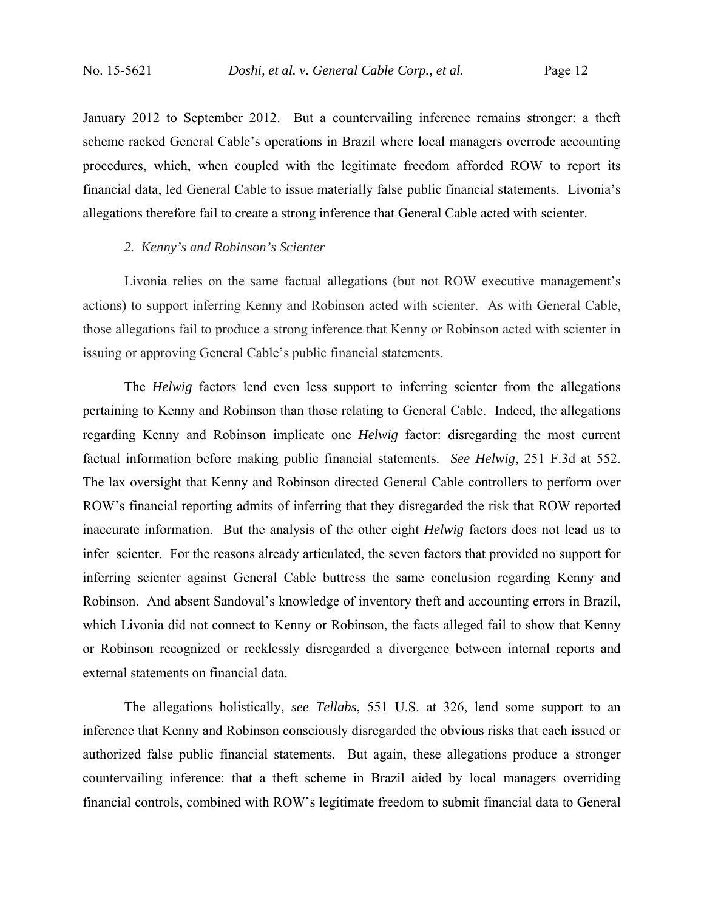January 2012 to September 2012. But a countervailing inference remains stronger: a theft scheme racked General Cable's operations in Brazil where local managers overrode accounting procedures, which, when coupled with the legitimate freedom afforded ROW to report its financial data, led General Cable to issue materially false public financial statements. Livonia's allegations therefore fail to create a strong inference that General Cable acted with scienter.

## *2. Kenny's and Robinson's Scienter*

Livonia relies on the same factual allegations (but not ROW executive management's actions) to support inferring Kenny and Robinson acted with scienter. As with General Cable, those allegations fail to produce a strong inference that Kenny or Robinson acted with scienter in issuing or approving General Cable's public financial statements.

The *Helwig* factors lend even less support to inferring scienter from the allegations pertaining to Kenny and Robinson than those relating to General Cable. Indeed, the allegations regarding Kenny and Robinson implicate one *Helwig* factor: disregarding the most current factual information before making public financial statements. *See Helwig*, 251 F.3d at 552. The lax oversight that Kenny and Robinson directed General Cable controllers to perform over ROW's financial reporting admits of inferring that they disregarded the risk that ROW reported inaccurate information. But the analysis of the other eight *Helwig* factors does not lead us to infer scienter. For the reasons already articulated, the seven factors that provided no support for inferring scienter against General Cable buttress the same conclusion regarding Kenny and Robinson. And absent Sandoval's knowledge of inventory theft and accounting errors in Brazil, which Livonia did not connect to Kenny or Robinson, the facts alleged fail to show that Kenny or Robinson recognized or recklessly disregarded a divergence between internal reports and external statements on financial data.

The allegations holistically, *see Tellabs*, 551 U.S. at 326, lend some support to an inference that Kenny and Robinson consciously disregarded the obvious risks that each issued or authorized false public financial statements. But again, these allegations produce a stronger countervailing inference: that a theft scheme in Brazil aided by local managers overriding financial controls, combined with ROW's legitimate freedom to submit financial data to General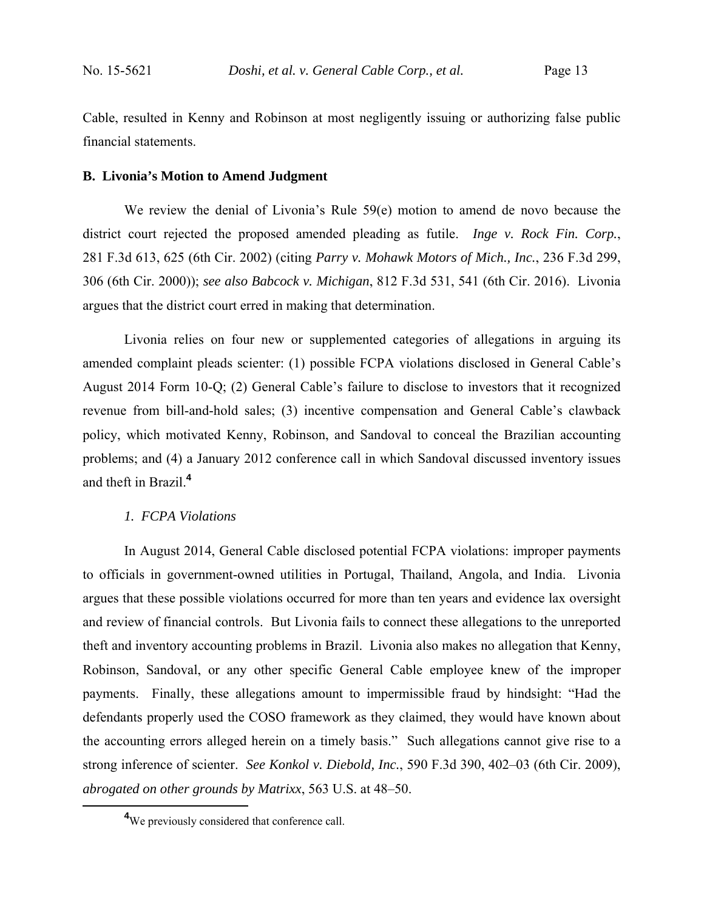Cable, resulted in Kenny and Robinson at most negligently issuing or authorizing false public financial statements.

#### **B. Livonia's Motion to Amend Judgment**

 We review the denial of Livonia's Rule 59(e) motion to amend de novo because the district court rejected the proposed amended pleading as futile. *Inge v. Rock Fin. Corp.*, 281 F.3d 613, 625 (6th Cir. 2002) (citing *Parry v. Mohawk Motors of Mich., Inc.*, 236 F.3d 299, 306 (6th Cir. 2000)); *see also Babcock v. Michigan*, 812 F.3d 531, 541 (6th Cir. 2016). Livonia argues that the district court erred in making that determination.

 Livonia relies on four new or supplemented categories of allegations in arguing its amended complaint pleads scienter: (1) possible FCPA violations disclosed in General Cable's August 2014 Form 10-Q; (2) General Cable's failure to disclose to investors that it recognized revenue from bill-and-hold sales; (3) incentive compensation and General Cable's clawback policy, which motivated Kenny, Robinson, and Sandoval to conceal the Brazilian accounting problems; and (4) a January 2012 conference call in which Sandoval discussed inventory issues and theft in Brazil.**<sup>4</sup>**

#### *1. FCPA Violations*

 In August 2014, General Cable disclosed potential FCPA violations: improper payments to officials in government-owned utilities in Portugal, Thailand, Angola, and India. Livonia argues that these possible violations occurred for more than ten years and evidence lax oversight and review of financial controls. But Livonia fails to connect these allegations to the unreported theft and inventory accounting problems in Brazil. Livonia also makes no allegation that Kenny, Robinson, Sandoval, or any other specific General Cable employee knew of the improper payments. Finally, these allegations amount to impermissible fraud by hindsight: "Had the defendants properly used the COSO framework as they claimed, they would have known about the accounting errors alleged herein on a timely basis." Such allegations cannot give rise to a strong inference of scienter. *See Konkol v. Diebold, Inc.*, 590 F.3d 390, 402–03 (6th Cir. 2009), *abrogated on other grounds by Matrixx*, 563 U.S. at 48–50.

**<sup>4</sup>** <sup>4</sup>We previously considered that conference call.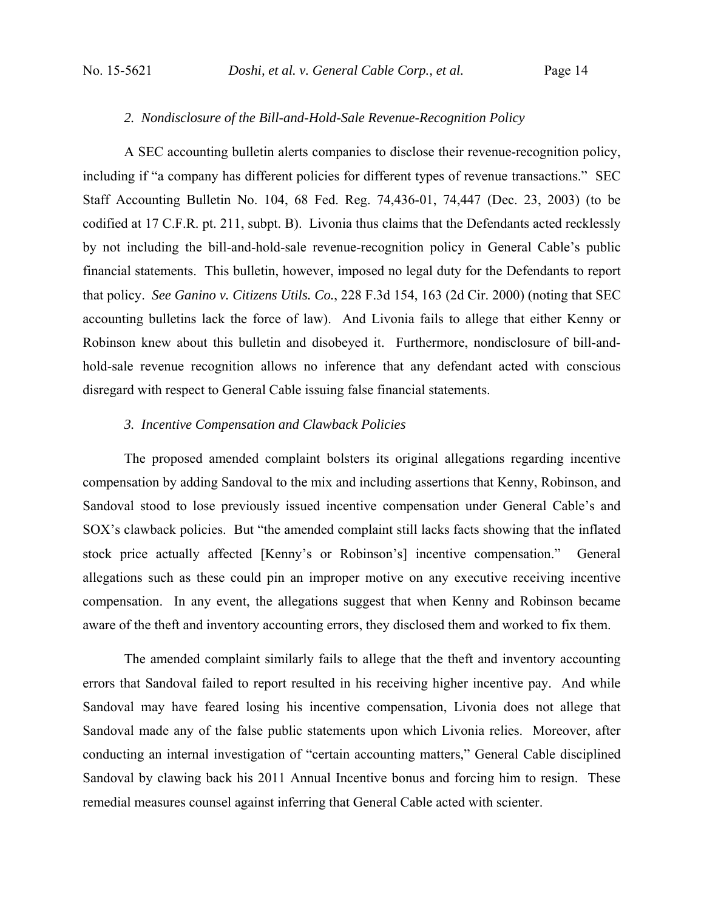## *2. Nondisclosure of the Bill-and-Hold-Sale Revenue-Recognition Policy*

 A SEC accounting bulletin alerts companies to disclose their revenue-recognition policy, including if "a company has different policies for different types of revenue transactions." SEC Staff Accounting Bulletin No. 104, 68 Fed. Reg. 74,436-01, 74,447 (Dec. 23, 2003) (to be codified at 17 C.F.R. pt. 211, subpt. B). Livonia thus claims that the Defendants acted recklessly by not including the bill-and-hold-sale revenue-recognition policy in General Cable's public financial statements. This bulletin, however, imposed no legal duty for the Defendants to report that policy. *See Ganino v. Citizens Utils. Co.*, 228 F.3d 154, 163 (2d Cir. 2000) (noting that SEC accounting bulletins lack the force of law). And Livonia fails to allege that either Kenny or Robinson knew about this bulletin and disobeyed it. Furthermore, nondisclosure of bill-andhold-sale revenue recognition allows no inference that any defendant acted with conscious disregard with respect to General Cable issuing false financial statements.

## *3. Incentive Compensation and Clawback Policies*

 The proposed amended complaint bolsters its original allegations regarding incentive compensation by adding Sandoval to the mix and including assertions that Kenny, Robinson, and Sandoval stood to lose previously issued incentive compensation under General Cable's and SOX's clawback policies. But "the amended complaint still lacks facts showing that the inflated stock price actually affected [Kenny's or Robinson's] incentive compensation." General allegations such as these could pin an improper motive on any executive receiving incentive compensation. In any event, the allegations suggest that when Kenny and Robinson became aware of the theft and inventory accounting errors, they disclosed them and worked to fix them.

 The amended complaint similarly fails to allege that the theft and inventory accounting errors that Sandoval failed to report resulted in his receiving higher incentive pay. And while Sandoval may have feared losing his incentive compensation, Livonia does not allege that Sandoval made any of the false public statements upon which Livonia relies. Moreover, after conducting an internal investigation of "certain accounting matters," General Cable disciplined Sandoval by clawing back his 2011 Annual Incentive bonus and forcing him to resign. These remedial measures counsel against inferring that General Cable acted with scienter.